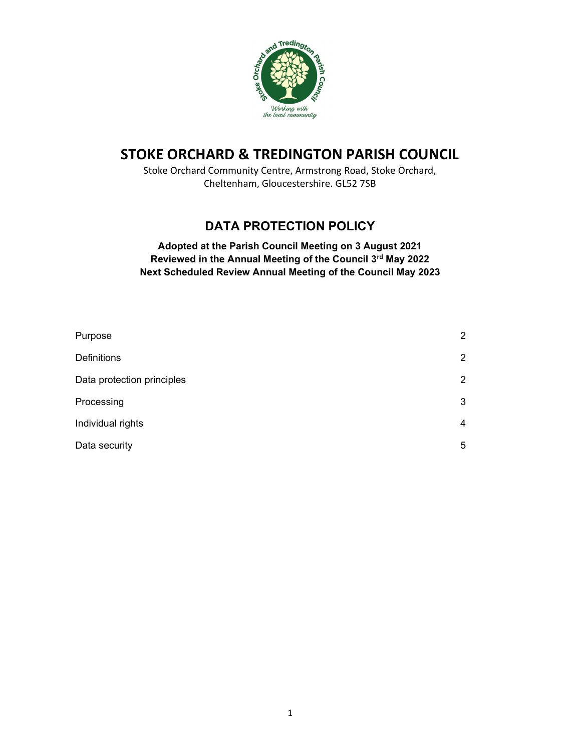

# STOKE ORCHARD & TREDINGTON PARISH COUNCIL

Stoke Orchard Community Centre, Armstrong Road, Stoke Orchard, Cheltenham, Gloucestershire. GL52 7SB

# DATA PROTECTION POLICY

## Adopted at the Parish Council Meeting on 3 August 2021 Reviewed in the Annual Meeting of the Council 3rd May 2022 Next Scheduled Review Annual Meeting of the Council May 2023

| Purpose                    | $\overline{2}$        |
|----------------------------|-----------------------|
| <b>Definitions</b>         | $\mathbf{2}^{\prime}$ |
| Data protection principles | $\overline{2}$        |
| Processing                 | 3                     |
| Individual rights          | 4                     |
| Data security              | 5                     |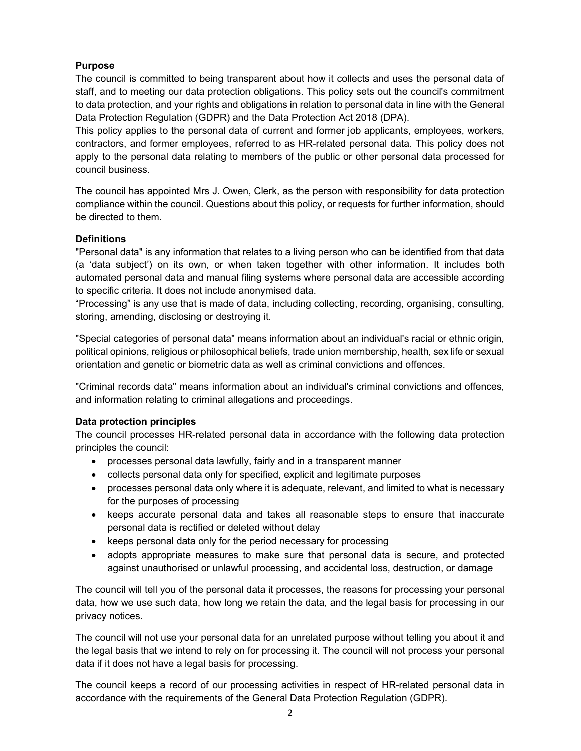## Purpose

The council is committed to being transparent about how it collects and uses the personal data of staff, and to meeting our data protection obligations. This policy sets out the council's commitment to data protection, and your rights and obligations in relation to personal data in line with the General Data Protection Regulation (GDPR) and the Data Protection Act 2018 (DPA).

This policy applies to the personal data of current and former job applicants, employees, workers, contractors, and former employees, referred to as HR-related personal data. This policy does not apply to the personal data relating to members of the public or other personal data processed for council business.

The council has appointed Mrs J. Owen, Clerk, as the person with responsibility for data protection compliance within the council. Questions about this policy, or requests for further information, should be directed to them.

## **Definitions**

"Personal data" is any information that relates to a living person who can be identified from that data (a 'data subject') on its own, or when taken together with other information. It includes both automated personal data and manual filing systems where personal data are accessible according to specific criteria. It does not include anonymised data.

"Processing" is any use that is made of data, including collecting, recording, organising, consulting, storing, amending, disclosing or destroying it.

"Special categories of personal data" means information about an individual's racial or ethnic origin, political opinions, religious or philosophical beliefs, trade union membership, health, sex life or sexual orientation and genetic or biometric data as well as criminal convictions and offences.

"Criminal records data" means information about an individual's criminal convictions and offences, and information relating to criminal allegations and proceedings.

## Data protection principles

The council processes HR-related personal data in accordance with the following data protection principles the council:

- processes personal data lawfully, fairly and in a transparent manner
- collects personal data only for specified, explicit and legitimate purposes
- processes personal data only where it is adequate, relevant, and limited to what is necessary for the purposes of processing
- keeps accurate personal data and takes all reasonable steps to ensure that inaccurate personal data is rectified or deleted without delay
- keeps personal data only for the period necessary for processing
- adopts appropriate measures to make sure that personal data is secure, and protected against unauthorised or unlawful processing, and accidental loss, destruction, or damage

The council will tell you of the personal data it processes, the reasons for processing your personal data, how we use such data, how long we retain the data, and the legal basis for processing in our privacy notices.

The council will not use your personal data for an unrelated purpose without telling you about it and the legal basis that we intend to rely on for processing it. The council will not process your personal data if it does not have a legal basis for processing.

The council keeps a record of our processing activities in respect of HR-related personal data in accordance with the requirements of the General Data Protection Regulation (GDPR).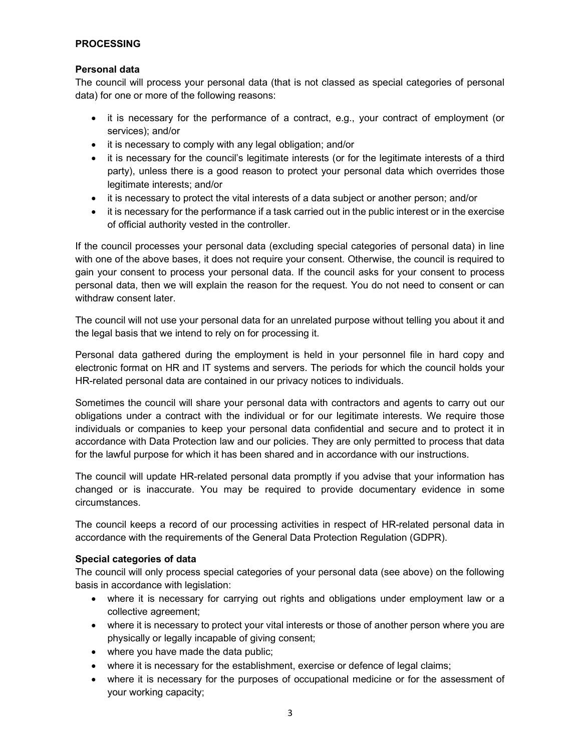## PROCESSING

#### Personal data

The council will process your personal data (that is not classed as special categories of personal data) for one or more of the following reasons:

- it is necessary for the performance of a contract, e.g., your contract of employment (or services); and/or
- it is necessary to comply with any legal obligation; and/or
- it is necessary for the council's legitimate interests (or for the legitimate interests of a third party), unless there is a good reason to protect your personal data which overrides those legitimate interests; and/or
- it is necessary to protect the vital interests of a data subject or another person; and/or
- it is necessary for the performance if a task carried out in the public interest or in the exercise of official authority vested in the controller.

If the council processes your personal data (excluding special categories of personal data) in line with one of the above bases, it does not require your consent. Otherwise, the council is required to gain your consent to process your personal data. If the council asks for your consent to process personal data, then we will explain the reason for the request. You do not need to consent or can withdraw consent later.

The council will not use your personal data for an unrelated purpose without telling you about it and the legal basis that we intend to rely on for processing it.

Personal data gathered during the employment is held in your personnel file in hard copy and electronic format on HR and IT systems and servers. The periods for which the council holds your HR-related personal data are contained in our privacy notices to individuals.

Sometimes the council will share your personal data with contractors and agents to carry out our obligations under a contract with the individual or for our legitimate interests. We require those individuals or companies to keep your personal data confidential and secure and to protect it in accordance with Data Protection law and our policies. They are only permitted to process that data for the lawful purpose for which it has been shared and in accordance with our instructions.

The council will update HR-related personal data promptly if you advise that your information has changed or is inaccurate. You may be required to provide documentary evidence in some circumstances.

The council keeps a record of our processing activities in respect of HR-related personal data in accordance with the requirements of the General Data Protection Regulation (GDPR).

#### Special categories of data

The council will only process special categories of your personal data (see above) on the following basis in accordance with legislation:

- where it is necessary for carrying out rights and obligations under employment law or a collective agreement;
- where it is necessary to protect your vital interests or those of another person where you are physically or legally incapable of giving consent;
- where you have made the data public;
- where it is necessary for the establishment, exercise or defence of legal claims;
- where it is necessary for the purposes of occupational medicine or for the assessment of your working capacity;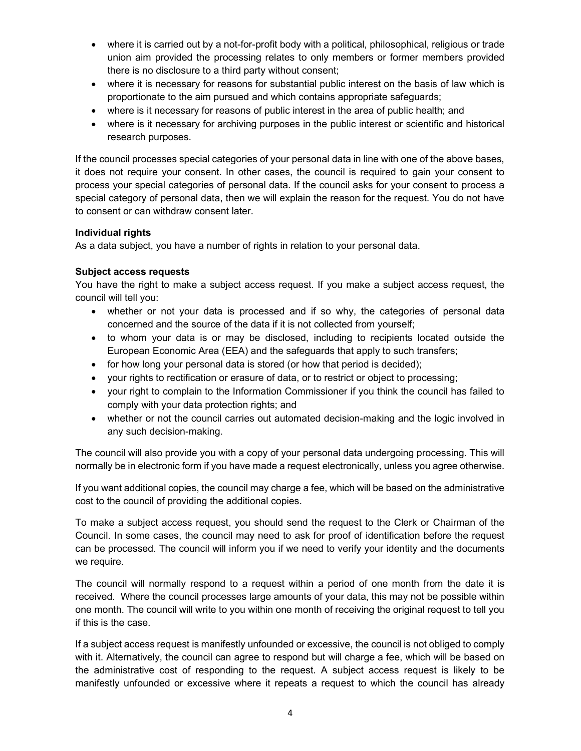- where it is carried out by a not-for-profit body with a political, philosophical, religious or trade union aim provided the processing relates to only members or former members provided there is no disclosure to a third party without consent;
- where it is necessary for reasons for substantial public interest on the basis of law which is proportionate to the aim pursued and which contains appropriate safeguards;
- where is it necessary for reasons of public interest in the area of public health; and
- where is it necessary for archiving purposes in the public interest or scientific and historical research purposes.

If the council processes special categories of your personal data in line with one of the above bases, it does not require your consent. In other cases, the council is required to gain your consent to process your special categories of personal data. If the council asks for your consent to process a special category of personal data, then we will explain the reason for the request. You do not have to consent or can withdraw consent later.

## Individual rights

As a data subject, you have a number of rights in relation to your personal data.

## Subject access requests

You have the right to make a subject access request. If you make a subject access request, the council will tell you:

- whether or not your data is processed and if so why, the categories of personal data concerned and the source of the data if it is not collected from yourself;
- to whom your data is or may be disclosed, including to recipients located outside the European Economic Area (EEA) and the safeguards that apply to such transfers;
- for how long your personal data is stored (or how that period is decided);
- your rights to rectification or erasure of data, or to restrict or object to processing;
- your right to complain to the Information Commissioner if you think the council has failed to comply with your data protection rights; and
- whether or not the council carries out automated decision-making and the logic involved in any such decision-making.

The council will also provide you with a copy of your personal data undergoing processing. This will normally be in electronic form if you have made a request electronically, unless you agree otherwise.

If you want additional copies, the council may charge a fee, which will be based on the administrative cost to the council of providing the additional copies.

To make a subject access request, you should send the request to the Clerk or Chairman of the Council. In some cases, the council may need to ask for proof of identification before the request can be processed. The council will inform you if we need to verify your identity and the documents we require.

The council will normally respond to a request within a period of one month from the date it is received. Where the council processes large amounts of your data, this may not be possible within one month. The council will write to you within one month of receiving the original request to tell you if this is the case.

If a subject access request is manifestly unfounded or excessive, the council is not obliged to comply with it. Alternatively, the council can agree to respond but will charge a fee, which will be based on the administrative cost of responding to the request. A subject access request is likely to be manifestly unfounded or excessive where it repeats a request to which the council has already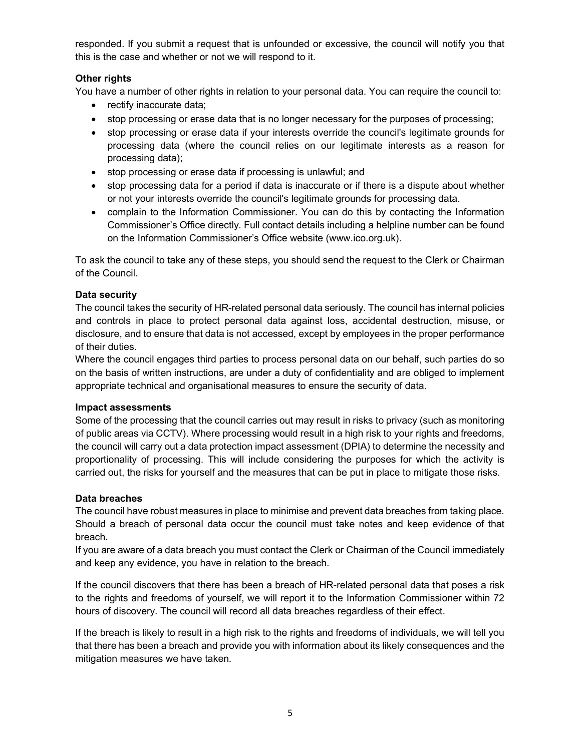responded. If you submit a request that is unfounded or excessive, the council will notify you that this is the case and whether or not we will respond to it.

## Other rights

You have a number of other rights in relation to your personal data. You can require the council to:

- rectify inaccurate data;
- stop processing or erase data that is no longer necessary for the purposes of processing;
- stop processing or erase data if your interests override the council's legitimate grounds for processing data (where the council relies on our legitimate interests as a reason for processing data);
- stop processing or erase data if processing is unlawful; and
- stop processing data for a period if data is inaccurate or if there is a dispute about whether or not your interests override the council's legitimate grounds for processing data.
- complain to the Information Commissioner. You can do this by contacting the Information Commissioner's Office directly. Full contact details including a helpline number can be found on the Information Commissioner's Office website (www.ico.org.uk).

To ask the council to take any of these steps, you should send the request to the Clerk or Chairman of the Council.

## Data security

The council takes the security of HR-related personal data seriously. The council has internal policies and controls in place to protect personal data against loss, accidental destruction, misuse, or disclosure, and to ensure that data is not accessed, except by employees in the proper performance of their duties.

Where the council engages third parties to process personal data on our behalf, such parties do so on the basis of written instructions, are under a duty of confidentiality and are obliged to implement appropriate technical and organisational measures to ensure the security of data.

#### Impact assessments

Some of the processing that the council carries out may result in risks to privacy (such as monitoring of public areas via CCTV). Where processing would result in a high risk to your rights and freedoms, the council will carry out a data protection impact assessment (DPIA) to determine the necessity and proportionality of processing. This will include considering the purposes for which the activity is carried out, the risks for yourself and the measures that can be put in place to mitigate those risks.

#### Data breaches

The council have robust measures in place to minimise and prevent data breaches from taking place. Should a breach of personal data occur the council must take notes and keep evidence of that breach.

If you are aware of a data breach you must contact the Clerk or Chairman of the Council immediately and keep any evidence, you have in relation to the breach.

If the council discovers that there has been a breach of HR-related personal data that poses a risk to the rights and freedoms of yourself, we will report it to the Information Commissioner within 72 hours of discovery. The council will record all data breaches regardless of their effect.

If the breach is likely to result in a high risk to the rights and freedoms of individuals, we will tell you that there has been a breach and provide you with information about its likely consequences and the mitigation measures we have taken.